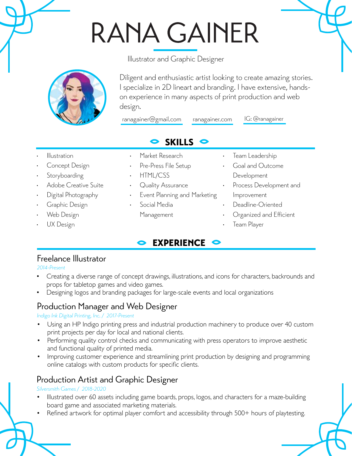# RANA GAINER

Illustrator and Graphic Designer



Diligent and enthusiastic artist looking to create amazing stories. I specialize in 2D lineart and branding. I have extensive, handson experience in many aspects of print production and web design.

ranagainer@gmail.com ranagainer.com

IG: @ranagainer

# SKILLS

- • Illustration
- Concept Design
- Storyboarding
- Adobe Creative Suite
- 
- Graphic Design
- Web Design
- UX Design
- Market Research
- Pre-Press File Setup
- **HTML/CSS**
- Quality Assurance
- Event Planning and Marketing
- Social Media
	- Management
- Team Leadership
- Goal and Outcome Development
- Process Development and Improvement
- Deadline-Oriented
- Organized and Efficient
- Team Player

# Freelance Illustrator

*2014-Present*

• Creating a diverse range of concept drawings, illustrations, and icons for characters, backrounds and props for tabletop games and video games.

EXPERIENCE **C** 

Designing logos and branding packages for large-scale events and local organizations

# Production Manager and Web Designer

#### *Indigo Ink Digital Printing, Inc. / 2017-Present*

- Using an HP Indigo printing press and industrial production machinery to produce over 40 custom print projects per day for local and national clients.
- Performing quality control checks and communicating with press operators to improve aesthetic and functional quality of printed media.
- Improving customer experience and streamlining print production by designing and programming online catalogs with custom products for specific clients.

# Production Artist and Graphic Designer

#### *Silversmith Games / 2018-2020*

- Illustrated over 60 assets including game boards, props, logos, and characters for a maze-building board game and associated marketing materials.
- Refined artwork for optimal player comfort and accessibility through 500+ hours of playtesting.

- 
- 
- 
- Digital Photography
-